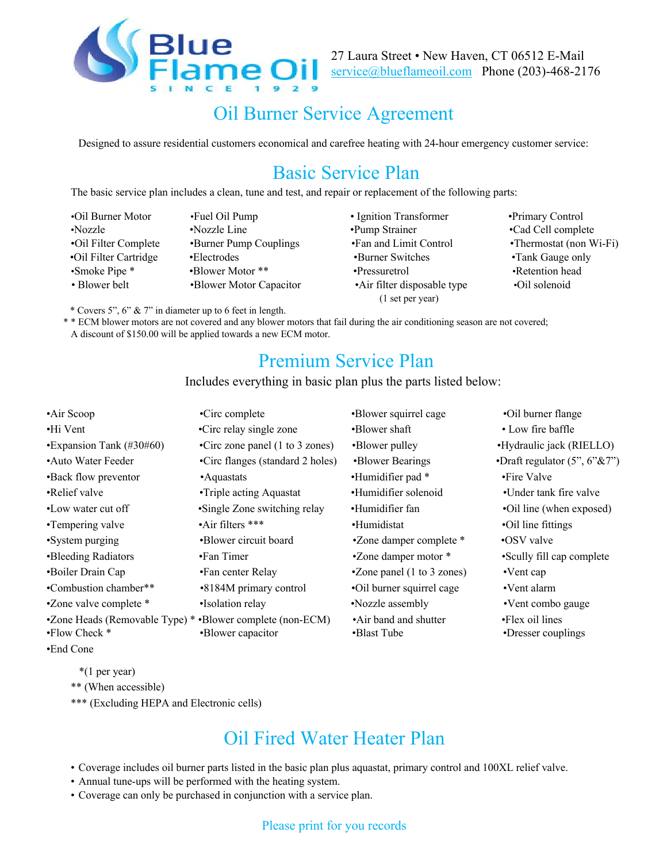

27 Laura Street • New Haven, CT 06512 E-Mail service@blueflameoil.com Phone (203)-468-2176

# Oil Burner Service Agreement

Designed to assure residential customers economical and carefree heating with 24-hour emergency customer service:

## Basic Service Plan

The basic service plan includes a clean, tune and test, and repair or replacement of the following parts:

- •Oil Burner Motor •Fuel Oil Pump Ignition Transformer •Primary Control •Nozzle •Nozzle Line •Pump Strainer •Cad Cell complete •Oil Filter Complete •Burner Pump Couplings •Fan and Limit Control •Thermostat (non Wi-Fi) •Oil Filter Cartridge •Electrodes •Burner Switches •Tank Gauge only •Smoke Pipe \* •Blower Motor \*\* •Pressuretrol •Retention head • Blower belt •Blower Motor Capacitor •Air filter disposable type •Oil solenoid
	- (1 set per year)
- 

\* Covers 5", 6" & 7" in diameter up to 6 feet in length.

\* \* ECM blower motors are not covered and any blower motors that fail during the air conditioning season are not covered; A discount of \$150.00 will be applied towards a new ECM motor.

#### Premium Service Plan

#### Includes everything in basic plan plus the parts listed below:

| •Air Scoop                                                                          | •Circ complete                                     | •Blower squirrel cage                | •Oil burner flange                    |
|-------------------------------------------------------------------------------------|----------------------------------------------------|--------------------------------------|---------------------------------------|
| •Hi Vent                                                                            | •Circ relay single zone                            | •Blower shaft                        | • Low fire baffle                     |
| $\cdot$ Expansion Tank (#30#60)                                                     | •Circ zone panel $(1 \text{ to } 3 \text{ zones})$ | •Blower pulley                       | •Hydraulic jack (RIELLO)              |
| • Auto Water Feeder                                                                 | •Circ flanges (standard 2 holes)                   | •Blower Bearings                     | •Draft regulator $(5", 6" \& 7")$     |
| •Back flow preventor                                                                | •Aquastats                                         | •Humidifier pad *                    | •Fire Valve                           |
| •Relief valve                                                                       | •Triple acting Aquastat                            | •Humidifier solenoid                 | •Under tank fire valve                |
| •Low water cut off                                                                  | •Single Zone switching relay                       | •Humidifier fan                      | •Oil line (when exposed)              |
| •Tempering valve                                                                    | $\cdot$ Air filters ***                            | •Humidistat                          | •Oil line fittings                    |
| •System purging                                                                     | •Blower circuit board                              | •Zone damper complete *              | •OSV valve                            |
| •Bleeding Radiators                                                                 | •Fan Timer                                         | •Zone damper motor *                 | • Scully fill cap complete            |
| •Boiler Drain Cap                                                                   | •Fan center Relay                                  | •Zone panel (1 to 3 zones)           | $\cdot$ Vent cap                      |
| •Combustion chamber**                                                               | •8184M primary control                             | •Oil burner squirrel cage            | •Vent alarm                           |
| •Zone valve complete *                                                              | •Isolation relay                                   | •Nozzle assembly                     | •Vent combo gauge                     |
| •Zone Heads (Removable Type) * •Blower complete (non-ECM)<br>$\cdot$ Flow Check $*$ | •Blower capacitor                                  | •Air band and shutter<br>•Blast Tube | •Flex oil lines<br>•Dresser couplings |
| •End Cone                                                                           |                                                    |                                      |                                       |

\*(1 per year)

\*\* (When accessible)

\*\*\* (Excluding HEPA and Electronic cells)

## Oil Fired Water Heater Plan

• Coverage includes oil burner parts listed in the basic plan plus aquastat, primary control and 100XL relief valve.

- Annual tune-ups will be performed with the heating system.
- Coverage can only be purchased in conjunction with a service plan.